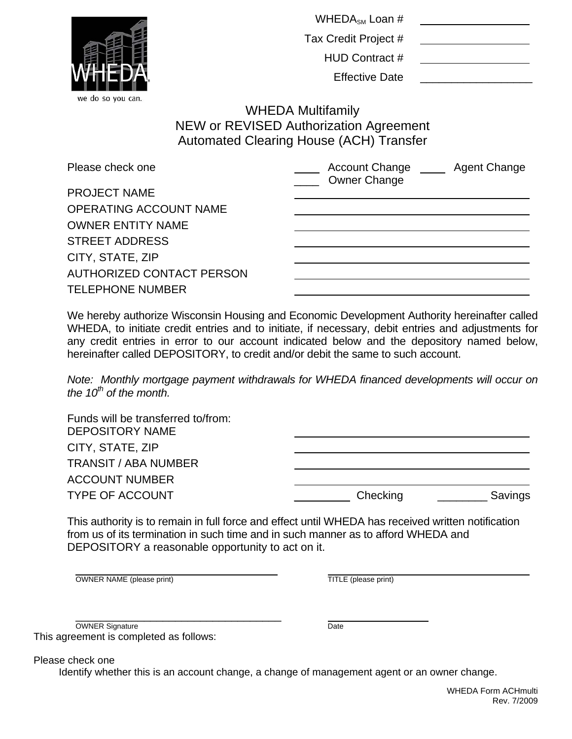|                                  | WHEDA <sub>SM</sub> Loan #                                                                                                  |
|----------------------------------|-----------------------------------------------------------------------------------------------------------------------------|
|                                  | Tax Credit Project #                                                                                                        |
|                                  | <b>HUD Contract #</b>                                                                                                       |
|                                  | <b>Effective Date</b>                                                                                                       |
| we do so you can.                | <b>WHEDA Multifamily</b><br><b>NEW or REVISED Authorization Agreement</b><br><b>Automated Clearing House (ACH) Transfer</b> |
| Please check one                 | Account Change<br><b>Agent Change</b><br><b>Owner Change</b>                                                                |
| <b>PROJECT NAME</b>              |                                                                                                                             |
| <b>OPERATING ACCOUNT NAME</b>    |                                                                                                                             |
| <b>OWNER ENTITY NAME</b>         |                                                                                                                             |
| <b>STREET ADDRESS</b>            |                                                                                                                             |
| CITY, STATE, ZIP                 |                                                                                                                             |
| <b>AUTHORIZED CONTACT PERSON</b> |                                                                                                                             |
| <b>TELEPHONE NUMBER</b>          |                                                                                                                             |

We hereby authorize Wisconsin Housing and Economic Development Authority hereinafter called WHEDA, to initiate credit entries and to initiate, if necessary, debit entries and adjustments for any credit entries in error to our account indicated below and the depository named below, hereinafter called DEPOSITORY, to credit and/or debit the same to such account.

*Note: Monthly mortgage payment withdrawals for WHEDA financed developments will occur on*  the 10<sup>th</sup> of the month.

| Funds will be transferred to/from:<br><b>DEPOSITORY NAME</b> |          |         |
|--------------------------------------------------------------|----------|---------|
| CITY, STATE, ZIP                                             |          |         |
| <b>TRANSIT / ABA NUMBER</b>                                  |          |         |
| <b>ACCOUNT NUMBER</b>                                        |          |         |
| <b>TYPE OF ACCOUNT</b>                                       | Checking | Savings |

This authority is to remain in full force and effect until WHEDA has received written notification from us of its termination in such time and in such manner as to afford WHEDA and DEPOSITORY a reasonable opportunity to act on it.

OWNER NAME (please print) TITLE (please print)

OWNER Signature Date Date Date Date

This agreement is completed as follows:

Please check one

Identify whether this is an account change, a change of management agent or an owner change.